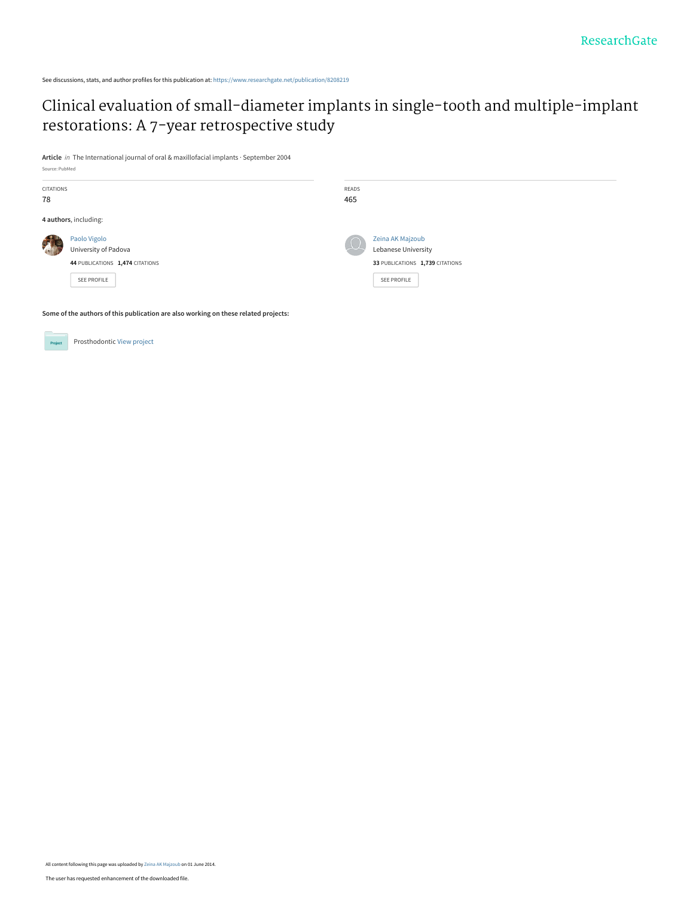See discussions, stats, and author profiles for this publication at: [https://www.researchgate.net/publication/8208219](https://www.researchgate.net/publication/8208219_Clinical_evaluation_of_small-diameter_implants_in_single-tooth_and_multiple-implant_restorations_A_7-year_retrospective_study?enrichId=rgreq-60519e22a7d33583e864b3ced415e8f8-XXX&enrichSource=Y292ZXJQYWdlOzgyMDgyMTk7QVM6MTAzMjEyMzEyOTU2OTMzQDE0MDE2MTkxNDEzODM%3D&el=1_x_2&_esc=publicationCoverPdf)

[Clinical evaluation of small-diameter implants in single-tooth and multiple-implant](https://www.researchgate.net/publication/8208219_Clinical_evaluation_of_small-diameter_implants_in_single-tooth_and_multiple-implant_restorations_A_7-year_retrospective_study?enrichId=rgreq-60519e22a7d33583e864b3ced415e8f8-XXX&enrichSource=Y292ZXJQYWdlOzgyMDgyMTk7QVM6MTAzMjEyMzEyOTU2OTMzQDE0MDE2MTkxNDEzODM%3D&el=1_x_3&_esc=publicationCoverPdf) restorations: A 7-year retrospective study

**Article** in The International journal of oral & maxillofacial implants · September 2004 Source: PubMed

| CITATIONS<br>78 |                                                                                        | READS<br>465 |                                                                                           |
|-----------------|----------------------------------------------------------------------------------------|--------------|-------------------------------------------------------------------------------------------|
|                 | 4 authors, including:                                                                  |              |                                                                                           |
|                 | Paolo Vigolo<br>University of Padova<br>44 PUBLICATIONS 1,474 CITATIONS<br>SEE PROFILE | $\Omega$     | Zeina AK Majzoub<br>Lebanese University<br>33 PUBLICATIONS 1,739 CITATIONS<br>SEE PROFILE |

**Some of the authors of this publication are also working on these related projects:**

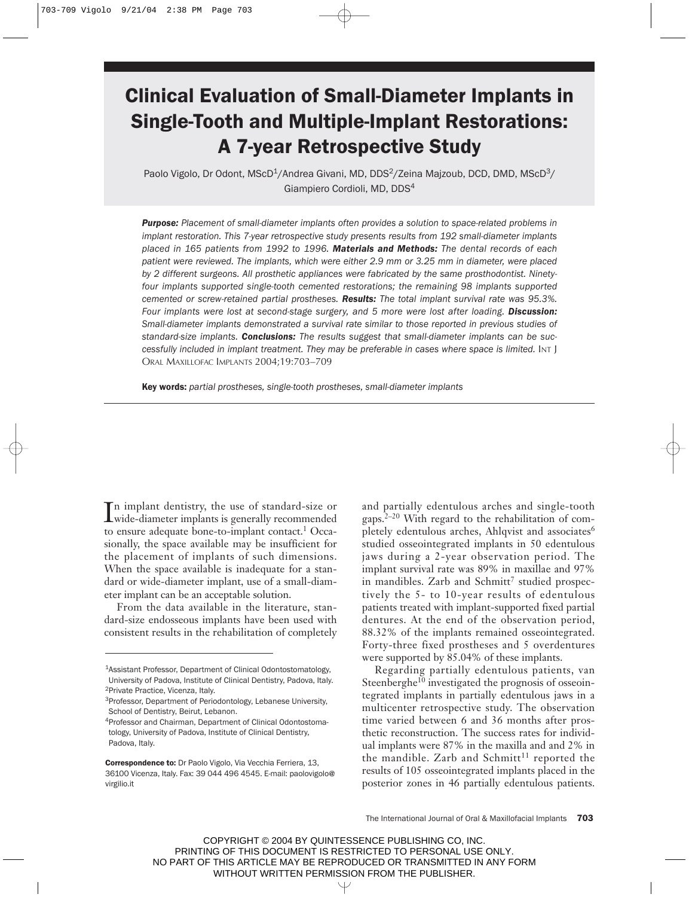# Clinical Evaluation of Small-Diameter Implants in Single-Tooth and Multiple-Implant Restorations: A 7-year Retrospective Study

Paolo Vigolo, Dr Odont, MScD<sup>1</sup>/Andrea Givani, MD, DDS<sup>2</sup>/Zeina Majzoub, DCD, DMD, MScD<sup>3</sup>/ Giampiero Cordioli, MD, DDS<sup>4</sup>

*Purpose: Placement of small-diameter implants often provides a solution to space-related problems in implant restoration. This 7-year retrospective study presents results from 192 small-diameter implants placed in 165 patients from 1992 to 1996. Materials and Methods: The dental records of each patient were reviewed. The implants, which were either 2.9 mm or 3.25 mm in diameter, were placed by 2 different surgeons. All prosthetic appliances were fabricated by the same prosthodontist. Ninetyfour implants supported single-tooth cemented restorations; the remaining 98 implants supported cemented or screw-retained partial prostheses. Results: The total implant survival rate was 95.3%.* Four implants were lost at second-stage surgery, and 5 more were lost after loading. **Discussion:** *Small-diameter implants demonstrated a survival rate similar to those reported in previous studies of standard-size implants. Conclusions: The results suggest that small-diameter implants can be successfully included in implant treatment. They may be preferable in cases where space is limited.* INT J ORAL MAXILLOFAC IMPLANTS 2004;19:703–709

Key words: *partial prostheses, single-tooth prostheses, small-diameter implants*

In implant dentistry, the use of standard-size or<br>wide-diameter implants is generally recommended wide-diameter implants is generally recommended to ensure adequate bone-to-implant contact.<sup>1</sup> Occasionally, the space available may be insufficient for the placement of implants of such dimensions. When the space available is inadequate for a standard or wide-diameter implant, use of a small-diameter implant can be an acceptable solution.

From the data available in the literature, standard-size endosseous implants have been used with consistent results in the rehabilitation of completely

and partially edentulous arches and single-tooth gaps.2–20 With regard to the rehabilitation of completely edentulous arches, Ahlqvist and associates<sup>6</sup> studied osseointegrated implants in 50 edentulous jaws during a 2-year observation period. The implant survival rate was 89% in maxillae and 97% in mandibles. Zarb and Schmitt<sup>7</sup> studied prospectively the 5- to 10-year results of edentulous patients treated with implant-supported fixed partial dentures. At the end of the observation period, 88.32% of the implants remained osseointegrated. Forty-three fixed prostheses and 5 overdentures were supported by 85.04% of these implants.

Regarding partially edentulous patients, van Steenberghe<sup>10</sup> investigated the prognosis of osseointegrated implants in partially edentulous jaws in a multicenter retrospective study. The observation time varied between 6 and 36 months after prosthetic reconstruction. The success rates for individual implants were 87% in the maxilla and and 2% in the mandible. Zarb and Schmitt<sup>11</sup> reported the results of 105 osseointegrated implants placed in the posterior zones in 46 partially edentulous patients.

The International Journal of Oral & Maxillofacial Implants 703

COPYRIGHT © 2004 BY QUINTESSENCE PUBLISHING CO, INC. PRINTING OF THIS DOCUMENT IS RESTRICTED TO PERSONAL USE ONLY. NO PART OF THIS ARTICLE MAY BE REPRODUCED OR TRANSMITTED IN ANY FORM WITHOUT WRITTEN PERMISSION FROM THE PUBLISHER.

Ψ

<sup>1</sup>Assistant Professor, Department of Clinical Odontostomatology, University of Padova, Institute of Clinical Dentistry, Padova, Italy. 2Private Practice, Vicenza, Italy.

<sup>3</sup>Professor, Department of Periodontology, Lebanese University, School of Dentistry, Beirut, Lebanon.

<sup>4</sup>Professor and Chairman, Department of Clinical Odontostomatology, University of Padova, Institute of Clinical Dentistry, Padova, Italy.

Correspondence to: Dr Paolo Vigolo, Via Vecchia Ferriera, 13, 36100 Vicenza, Italy. Fax: 39 044 496 4545. E-mail: paolovigolo@ virgilio.it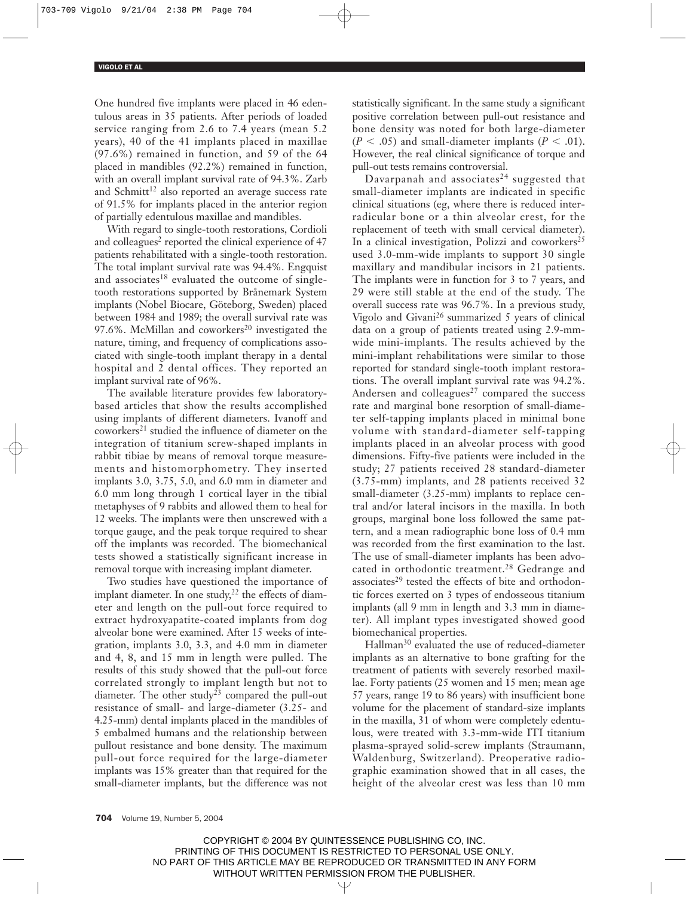One hundred five implants were placed in 46 edentulous areas in 35 patients. After periods of loaded service ranging from 2.6 to 7.4 years (mean 5.2 years), 40 of the 41 implants placed in maxillae (97.6%) remained in function, and 59 of the 64 placed in mandibles (92.2%) remained in function, with an overall implant survival rate of 94.3%. Zarb and Schmitt<sup>12</sup> also reported an average success rate of 91.5% for implants placed in the anterior region of partially edentulous maxillae and mandibles.

With regard to single-tooth restorations, Cordioli and colleagues<sup>2</sup> reported the clinical experience of 47 patients rehabilitated with a single-tooth restoration. The total implant survival rate was 94.4%. Engquist and associates<sup>18</sup> evaluated the outcome of singletooth restorations supported by Brånemark System implants (Nobel Biocare, Göteborg, Sweden) placed between 1984 and 1989; the overall survival rate was 97.6%. McMillan and coworkers<sup>20</sup> investigated the nature, timing, and frequency of complications associated with single-tooth implant therapy in a dental hospital and 2 dental offices. They reported an implant survival rate of 96%.

The available literature provides few laboratorybased articles that show the results accomplished using implants of different diameters. Ivanoff and coworkers<sup>21</sup> studied the influence of diameter on the integration of titanium screw-shaped implants in rabbit tibiae by means of removal torque measurements and histomorphometry. They inserted implants 3.0, 3.75, 5.0, and 6.0 mm in diameter and 6.0 mm long through 1 cortical layer in the tibial metaphyses of 9 rabbits and allowed them to heal for 12 weeks. The implants were then unscrewed with a torque gauge, and the peak torque required to shear off the implants was recorded. The biomechanical tests showed a statistically significant increase in removal torque with increasing implant diameter.

Two studies have questioned the importance of implant diameter. In one study, $2^2$  the effects of diameter and length on the pull-out force required to extract hydroxyapatite-coated implants from dog alveolar bone were examined. After 15 weeks of integration, implants 3.0, 3.3, and 4.0 mm in diameter and 4, 8, and 15 mm in length were pulled. The results of this study showed that the pull-out force correlated strongly to implant length but not to diameter. The other study<sup>23</sup> compared the pull-out resistance of small- and large-diameter (3.25- and 4.25-mm) dental implants placed in the mandibles of 5 embalmed humans and the relationship between pullout resistance and bone density. The maximum pull-out force required for the large-diameter implants was 15% greater than that required for the small-diameter implants, but the difference was not

statistically significant. In the same study a significant positive correlation between pull-out resistance and bone density was noted for both large-diameter  $(P < .05)$  and small-diameter implants  $(P < .01)$ . However, the real clinical significance of torque and pull-out tests remains controversial.

Davarpanah and associates $24$  suggested that small-diameter implants are indicated in specific clinical situations (eg, where there is reduced interradicular bone or a thin alveolar crest, for the replacement of teeth with small cervical diameter). In a clinical investigation, Polizzi and coworkers<sup>25</sup> used 3.0-mm-wide implants to support 30 single maxillary and mandibular incisors in 21 patients. The implants were in function for 3 to 7 years, and 29 were still stable at the end of the study. The overall success rate was 96.7%. In a previous study, Vigolo and Givani<sup>26</sup> summarized 5 years of clinical data on a group of patients treated using 2.9-mmwide mini-implants. The results achieved by the mini-implant rehabilitations were similar to those reported for standard single-tooth implant restorations. The overall implant survival rate was 94.2%. Andersen and colleagues<sup>27</sup> compared the success rate and marginal bone resorption of small-diameter self-tapping implants placed in minimal bone volume with standard-diameter self-tapping implants placed in an alveolar process with good dimensions. Fifty-five patients were included in the study; 27 patients received 28 standard-diameter (3.75-mm) implants, and 28 patients received 32 small-diameter (3.25-mm) implants to replace central and/or lateral incisors in the maxilla. In both groups, marginal bone loss followed the same pattern, and a mean radiographic bone loss of 0.4 mm was recorded from the first examination to the last. The use of small-diameter implants has been advocated in orthodontic treatment.<sup>28</sup> Gedrange and associates<sup>29</sup> tested the effects of bite and orthodontic forces exerted on 3 types of endosseous titanium implants (all 9 mm in length and 3.3 mm in diameter). All implant types investigated showed good biomechanical properties.

Hallman<sup>30</sup> evaluated the use of reduced-diameter implants as an alternative to bone grafting for the treatment of patients with severely resorbed maxillae. Forty patients (25 women and 15 men; mean age 57 years, range 19 to 86 years) with insufficient bone volume for the placement of standard-size implants in the maxilla, 31 of whom were completely edentulous, were treated with 3.3-mm-wide ITI titanium plasma-sprayed solid-screw implants (Straumann, Waldenburg, Switzerland). Preoperative radiographic examination showed that in all cases, the height of the alveolar crest was less than 10 mm

704 Volume 19, Number 5, 2004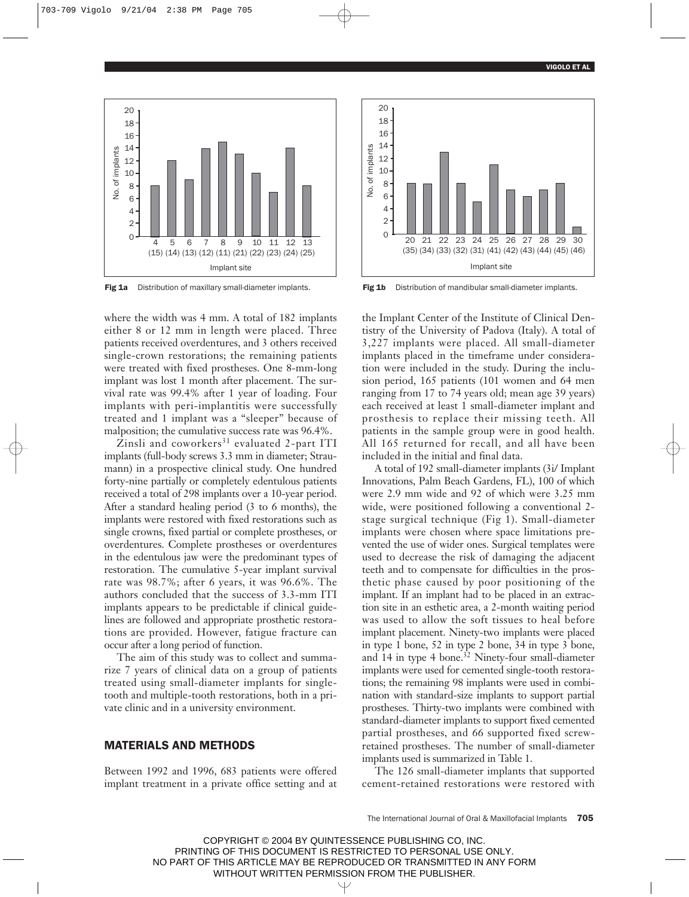

Fig 1a Distribution of maxillary small-diameter implants. Fig 1b Distribution of mandibular small-diameter implants.

where the width was 4 mm. A total of 182 implants either 8 or 12 mm in length were placed. Three patients received overdentures, and 3 others received single-crown restorations; the remaining patients were treated with fixed prostheses. One 8-mm-long implant was lost 1 month after placement. The survival rate was 99.4% after 1 year of loading. Four implants with peri-implantitis were successfully treated and 1 implant was a "sleeper" because of malposition; the cumulative success rate was 96.4%.

 $\bar{Z}$ insli and coworkers<sup>31</sup> evaluated 2-part ITI implants (full-body screws 3.3 mm in diameter; Straumann) in a prospective clinical study. One hundred forty-nine partially or completely edentulous patients received a total of 298 implants over a 10-year period. After a standard healing period (3 to 6 months), the implants were restored with fixed restorations such as single crowns, fixed partial or complete prostheses, or overdentures. Complete prostheses or overdentures in the edentulous jaw were the predominant types of restoration. The cumulative 5-year implant survival rate was 98.7%; after 6 years, it was 96.6%. The authors concluded that the success of 3.3-mm ITI implants appears to be predictable if clinical guidelines are followed and appropriate prosthetic restorations are provided. However, fatigue fracture can occur after a long period of function.

The aim of this study was to collect and summarize 7 years of clinical data on a group of patients treated using small-diameter implants for singletooth and multiple-tooth restorations, both in a private clinic and in a university environment.

## MATERIALS AND METHODS

Between 1992 and 1996, 683 patients were offered implant treatment in a private office setting and at



the Implant Center of the Institute of Clinical Dentistry of the University of Padova (Italy). A total of 3,227 implants were placed. All small-diameter implants placed in the timeframe under consideration were included in the study. During the inclusion period, 165 patients (101 women and 64 men ranging from 17 to 74 years old; mean age 39 years) each received at least 1 small-diameter implant and prosthesis to replace their missing teeth. All patients in the sample group were in good health. All 165 returned for recall, and all have been included in the initial and final data.

A total of 192 small-diameter implants (3i/ Implant Innovations, Palm Beach Gardens, FL), 100 of which were 2.9 mm wide and 92 of which were 3.25 mm wide, were positioned following a conventional 2 stage surgical technique (Fig 1). Small-diameter implants were chosen where space limitations prevented the use of wider ones. Surgical templates were used to decrease the risk of damaging the adjacent teeth and to compensate for difficulties in the prosthetic phase caused by poor positioning of the implant. If an implant had to be placed in an extraction site in an esthetic area, a 2-month waiting period was used to allow the soft tissues to heal before implant placement. Ninety-two implants were placed in type 1 bone, 52 in type 2 bone, 34 in type 3 bone, and 14 in type 4 bone.<sup>32</sup> Ninety-four small-diameter implants were used for cemented single-tooth restorations; the remaining 98 implants were used in combination with standard-size implants to support partial prostheses. Thirty-two implants were combined with standard-diameter implants to support fixed cemented partial prostheses, and 66 supported fixed screwretained prostheses. The number of small-diameter implants used is summarized in Table 1.

The 126 small-diameter implants that supported cement-retained restorations were restored with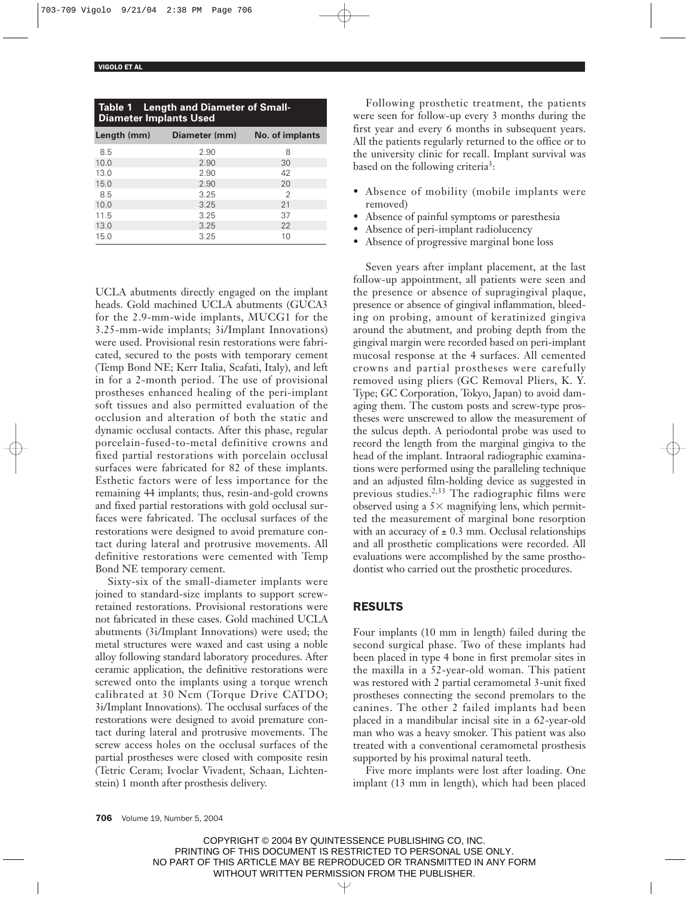| <b>Table 1 Length and Diameter of Small-</b><br><b>Diameter Implants Used</b> |                           |                 |  |  |
|-------------------------------------------------------------------------------|---------------------------|-----------------|--|--|
|                                                                               | Length (mm) Diameter (mm) | No. of implants |  |  |
| 8.5                                                                           | 2.90                      | 8               |  |  |
| 10.0                                                                          | 2.90                      | 30              |  |  |
| 13.0                                                                          | 2.90                      | 42              |  |  |
| 15.0                                                                          | 2.90                      | 20              |  |  |
| 8.5                                                                           | 3.25                      | 2               |  |  |
| 10.0                                                                          | 3.25                      | 21              |  |  |
| 11.5                                                                          | 3.25                      | 37              |  |  |
| 13.0                                                                          | 3.25                      | 22              |  |  |
| 15.0                                                                          | 3.25                      | 10              |  |  |

UCLA abutments directly engaged on the implant heads. Gold machined UCLA abutments (GUCA3 for the 2.9-mm-wide implants, MUCG1 for the 3.25-mm-wide implants; 3i/Implant Innovations) were used. Provisional resin restorations were fabricated, secured to the posts with temporary cement (Temp Bond NE; Kerr Italia, Scafati, Italy), and left in for a 2-month period. The use of provisional prostheses enhanced healing of the peri-implant soft tissues and also permitted evaluation of the occlusion and alteration of both the static and dynamic occlusal contacts. After this phase, regular porcelain-fused-to-metal definitive crowns and fixed partial restorations with porcelain occlusal surfaces were fabricated for 82 of these implants. Esthetic factors were of less importance for the remaining 44 implants; thus, resin-and-gold crowns and fixed partial restorations with gold occlusal surfaces were fabricated. The occlusal surfaces of the restorations were designed to avoid premature contact during lateral and protrusive movements. All definitive restorations were cemented with Temp Bond NE temporary cement.

Sixty-six of the small-diameter implants were joined to standard-size implants to support screwretained restorations. Provisional restorations were not fabricated in these cases. Gold machined UCLA abutments (3i/Implant Innovations) were used; the metal structures were waxed and cast using a noble alloy following standard laboratory procedures. After ceramic application, the definitive restorations were screwed onto the implants using a torque wrench calibrated at 30 Ncm (Torque Drive CATDO; 3i/Implant Innovations). The occlusal surfaces of the restorations were designed to avoid premature contact during lateral and protrusive movements. The screw access holes on the occlusal surfaces of the partial prostheses were closed with composite resin (Tetric Ceram; Ivoclar Vivadent, Schaan, Lichtenstein) 1 month after prosthesis delivery.

Following prosthetic treatment, the patients were seen for follow-up every 3 months during the first year and every 6 months in subsequent years. All the patients regularly returned to the office or to the university clinic for recall. Implant survival was based on the following criteria<sup>3</sup>:

- Absence of mobility (mobile implants were removed)
- Absence of painful symptoms or paresthesia
- Absence of peri-implant radiolucency
- Absence of progressive marginal bone loss

Seven years after implant placement, at the last follow-up appointment, all patients were seen and the presence or absence of supragingival plaque, presence or absence of gingival inflammation, bleeding on probing, amount of keratinized gingiva around the abutment, and probing depth from the gingival margin were recorded based on peri-implant mucosal response at the 4 surfaces. All cemented crowns and partial prostheses were carefully removed using pliers (GC Removal Pliers, K. Y. Type; GC Corporation, Tokyo, Japan) to avoid damaging them. The custom posts and screw-type prostheses were unscrewed to allow the measurement of the sulcus depth. A periodontal probe was used to record the length from the marginal gingiva to the head of the implant. Intraoral radiographic examinations were performed using the paralleling technique and an adjusted film-holding device as suggested in previous studies.<sup>2,33</sup> The radiographic films were observed using a  $5\times$  magnifying lens, which permitted the measurement of marginal bone resorption with an accuracy of  $\pm$  0.3 mm. Occlusal relationships and all prosthetic complications were recorded. All evaluations were accomplished by the same prosthodontist who carried out the prosthetic procedures.

## RESULTS

Four implants (10 mm in length) failed during the second surgical phase. Two of these implants had been placed in type 4 bone in first premolar sites in the maxilla in a 52-year-old woman. This patient was restored with 2 partial ceramometal 3-unit fixed prostheses connecting the second premolars to the canines. The other 2 failed implants had been placed in a mandibular incisal site in a 62-year-old man who was a heavy smoker. This patient was also treated with a conventional ceramometal prosthesis supported by his proximal natural teeth.

Five more implants were lost after loading. One implant (13 mm in length), which had been placed

706 Volume 19, Number 5, 2004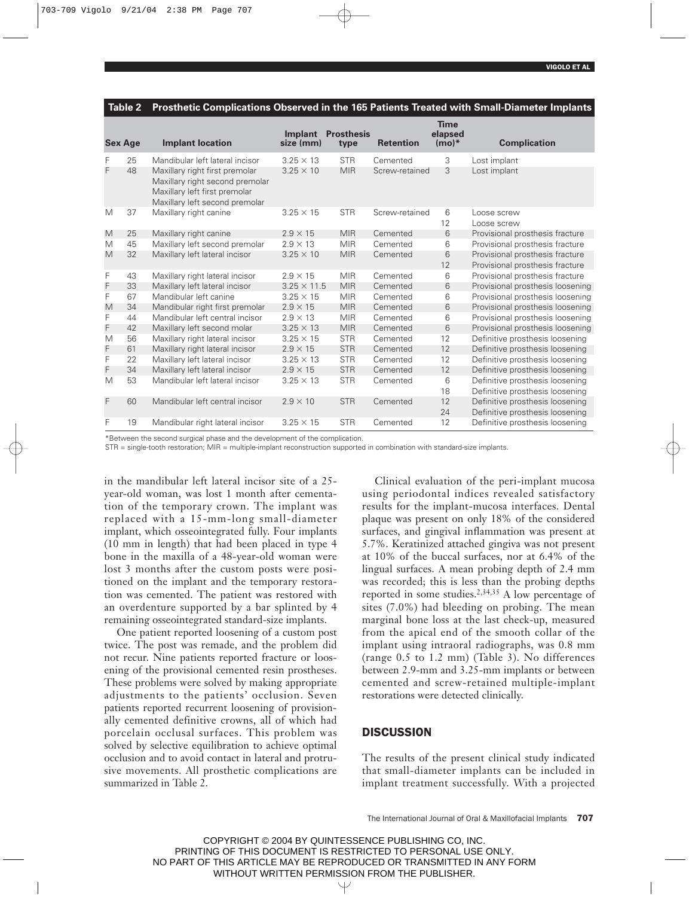|   | <b>Sex Age</b> | <b>Implant location</b>                                                                                                              | Implant<br>size (mm) | <b>Prosthesis</b><br>type | <b>Retention</b> | <b>Time</b><br>elapsed<br>$(mo)*$ | <b>Complication</b>              |
|---|----------------|--------------------------------------------------------------------------------------------------------------------------------------|----------------------|---------------------------|------------------|-----------------------------------|----------------------------------|
| F | 25             | Mandibular left lateral incisor                                                                                                      | $3.25 \times 13$     | <b>STR</b>                | Cemented         | 3                                 | Lost implant                     |
| F | 48             | Maxillary right first premolar<br>Maxillary right second premolar<br>Maxillary left first premolar<br>Maxillary left second premolar | $3.25 \times 10$     | <b>MIR</b>                | Screw-retained   | 3                                 | Lost implant                     |
| M | 37             | Maxillary right canine                                                                                                               | $3.25 \times 15$     | <b>STR</b>                | Screw-retained   | 6<br>12                           | Loose screw<br>Loose screw       |
| M | 25             | Maxillary right canine                                                                                                               | $2.9 \times 15$      | <b>MIR</b>                | Cemented         | 6                                 | Provisional prosthesis fracture  |
| M | 45             | Maxillary left second premolar                                                                                                       | $2.9 \times 13$      | <b>MIR</b>                | Cemented         | 6                                 | Provisional prosthesis fracture  |
| M | 32             | Maxillary left lateral incisor                                                                                                       | $3.25 \times 10$     | <b>MIR</b>                | Cemented         | 6                                 | Provisional prosthesis fracture  |
|   |                |                                                                                                                                      |                      |                           |                  | 12                                | Provisional prosthesis fracture  |
| F | 43             | Maxillary right lateral incisor                                                                                                      | $2.9 \times 15$      | <b>MIR</b>                | Cemented         | 6                                 | Provisional prosthesis fracture  |
| F | 33             | Maxillary left lateral incisor                                                                                                       | $3.25 \times 11.5$   | <b>MIR</b>                | Cemented         | 6                                 | Provisional prosthesis loosening |
| F | 67             | Mandibular left canine                                                                                                               | $3.25 \times 15$     | <b>MIR</b>                | Cemented         | 6                                 | Provisional prosthesis loosening |
| M | 34             | Mandibular right first premolar                                                                                                      | $2.9 \times 15$      | <b>MIR</b>                | Cemented         | 6                                 | Provisional prosthesis loosening |
| F | 44             | Mandibular left central incisor                                                                                                      | $2.9 \times 13$      | <b>MIR</b>                | Cemented         | 6                                 | Provisional prosthesis loosening |
| F | 42             | Maxillary left second molar                                                                                                          | $3.25 \times 13$     | <b>MIR</b>                | Cemented         | 6                                 | Provisional prosthesis loosening |
| M | 56             | Maxillary right lateral incisor                                                                                                      | $3.25 \times 15$     | <b>STR</b>                | Cemented         | 12                                | Definitive prosthesis loosening  |
| F | 61             | Maxillary right lateral incisor                                                                                                      | $2.9 \times 15$      | <b>STR</b>                | Cemented         | 12                                | Definitive prosthesis loosening  |
| F | 22             | Maxillary left lateral incisor                                                                                                       | $3.25 \times 13$     | <b>STR</b>                | Cemented         | 12                                | Definitive prosthesis loosening  |
| F | 34             | Maxillary left lateral incisor                                                                                                       | $2.9 \times 15$      | <b>STR</b>                | Cemented         | 12                                | Definitive prosthesis loosening  |
| M | 53             | Mandibular left lateral incisor                                                                                                      | $3.25 \times 13$     | <b>STR</b>                | Cemented         | 6                                 | Definitive prosthesis loosening  |
|   |                |                                                                                                                                      |                      |                           |                  | 18                                | Definitive prosthesis loosening  |
| F | 60             | Mandibular left central incisor                                                                                                      | $2.9 \times 10$      | <b>STR</b>                | Cemented         | 12                                | Definitive prosthesis loosening  |
|   |                |                                                                                                                                      |                      |                           |                  | 24                                | Definitive prosthesis loosening  |
| F | 19             | Mandibular right lateral incisor                                                                                                     | $3.25 \times 15$     | <b>STR</b>                | Cemented         | 12                                | Definitive prosthesis loosening  |

#### **Table 2 Prosthetic Complications Observed in the 165 Patients Treated with Small-Diameter Implants**

\*Between the second surgical phase and the development of the complication.

STR = single-tooth restoration; MIR = multiple-implant reconstruction supported in combination with standard-size implants.

in the mandibular left lateral incisor site of a 25 year-old woman, was lost 1 month after cementation of the temporary crown. The implant was replaced with a 15-mm-long small-diameter implant, which osseointegrated fully. Four implants (10 mm in length) that had been placed in type 4 bone in the maxilla of a 48-year-old woman were lost 3 months after the custom posts were positioned on the implant and the temporary restoration was cemented. The patient was restored with an overdenture supported by a bar splinted by 4 remaining osseointegrated standard-size implants.

One patient reported loosening of a custom post twice. The post was remade, and the problem did not recur. Nine patients reported fracture or loosening of the provisional cemented resin prostheses. These problems were solved by making appropriate adjustments to the patients' occlusion. Seven patients reported recurrent loosening of provisionally cemented definitive crowns, all of which had porcelain occlusal surfaces. This problem was solved by selective equilibration to achieve optimal occlusion and to avoid contact in lateral and protrusive movements. All prosthetic complications are summarized in Table 2.

Clinical evaluation of the peri-implant mucosa using periodontal indices revealed satisfactory results for the implant-mucosa interfaces. Dental plaque was present on only 18% of the considered surfaces, and gingival inflammation was present at 5.7%. Keratinized attached gingiva was not present at 10% of the buccal surfaces, nor at 6.4% of the lingual surfaces. A mean probing depth of 2.4 mm was recorded; this is less than the probing depths reported in some studies.<sup>2,34,35</sup> A low percentage of sites (7.0%) had bleeding on probing. The mean marginal bone loss at the last check-up, measured from the apical end of the smooth collar of the implant using intraoral radiographs, was 0.8 mm (range 0.5 to 1.2 mm) (Table 3). No differences between 2.9-mm and 3.25-mm implants or between cemented and screw-retained multiple-implant restorations were detected clinically.

## **DISCUSSION**

The results of the present clinical study indicated that small-diameter implants can be included in implant treatment successfully. With a projected

The International Journal of Oral & Maxillofacial Implants 707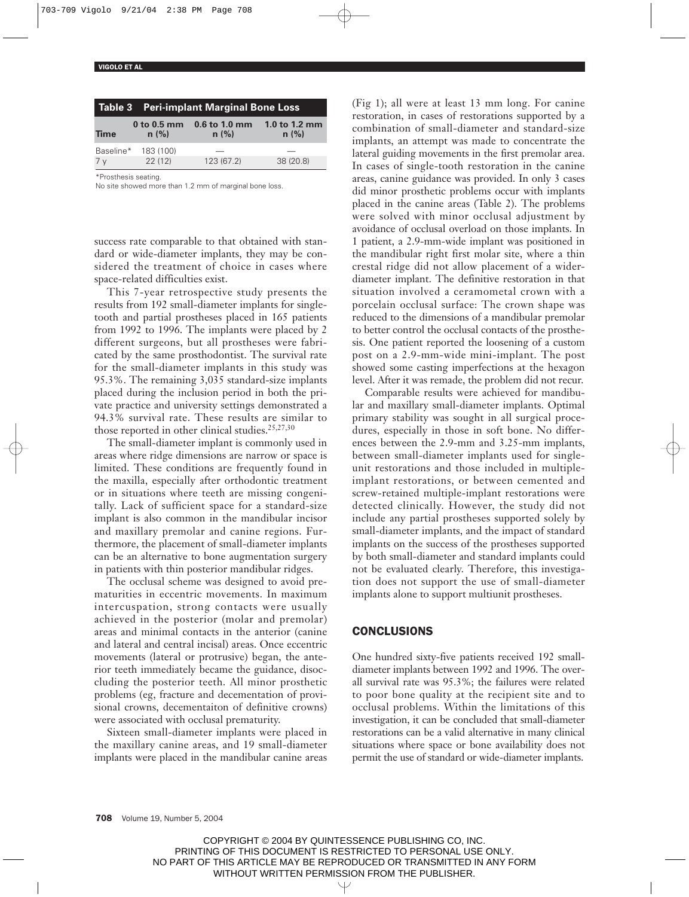|             | Table 3 Peri-implant Marginal Bone Loss |                         |                       |  |  |  |
|-------------|-----------------------------------------|-------------------------|-----------------------|--|--|--|
| <b>Time</b> | $0$ to 0.5 mm<br>n(%)                   | $0.6$ to 1.0 mm<br>n(%) | 1.0 to 1.2 mm<br>n(%) |  |  |  |
|             | Baseline* 183 (100)                     |                         |                       |  |  |  |
| 7 v         | 22(12)                                  | 123 (67.2)              | 38 (20.8)             |  |  |  |

\*Prosthesis seating.

No site showed more than 1.2 mm of marginal bone loss.

success rate comparable to that obtained with standard or wide-diameter implants, they may be considered the treatment of choice in cases where space-related difficulties exist.

This 7-year retrospective study presents the results from 192 small-diameter implants for singletooth and partial prostheses placed in 165 patients from 1992 to 1996. The implants were placed by 2 different surgeons, but all prostheses were fabricated by the same prosthodontist. The survival rate for the small-diameter implants in this study was 95.3%. The remaining 3,035 standard-size implants placed during the inclusion period in both the private practice and university settings demonstrated a 94.3% survival rate. These results are similar to those reported in other clinical studies.<sup>25,27,30</sup>

The small-diameter implant is commonly used in areas where ridge dimensions are narrow or space is limited. These conditions are frequently found in the maxilla, especially after orthodontic treatment or in situations where teeth are missing congenitally. Lack of sufficient space for a standard-size implant is also common in the mandibular incisor and maxillary premolar and canine regions. Furthermore, the placement of small-diameter implants can be an alternative to bone augmentation surgery in patients with thin posterior mandibular ridges.

The occlusal scheme was designed to avoid prematurities in eccentric movements. In maximum intercuspation, strong contacts were usually achieved in the posterior (molar and premolar) areas and minimal contacts in the anterior (canine and lateral and central incisal) areas. Once eccentric movements (lateral or protrusive) began, the anterior teeth immediately became the guidance, disoccluding the posterior teeth. All minor prosthetic problems (eg, fracture and decementation of provisional crowns, decementaiton of definitive crowns) were associated with occlusal prematurity.

Sixteen small-diameter implants were placed in the maxillary canine areas, and 19 small-diameter implants were placed in the mandibular canine areas (Fig 1); all were at least 13 mm long. For canine restoration, in cases of restorations supported by a combination of small-diameter and standard-size implants, an attempt was made to concentrate the lateral guiding movements in the first premolar area. In cases of single-tooth restoration in the canine areas, canine guidance was provided. In only 3 cases did minor prosthetic problems occur with implants placed in the canine areas (Table 2). The problems were solved with minor occlusal adjustment by avoidance of occlusal overload on those implants. In 1 patient, a 2.9-mm-wide implant was positioned in the mandibular right first molar site, where a thin crestal ridge did not allow placement of a widerdiameter implant. The definitive restoration in that situation involved a ceramometal crown with a porcelain occlusal surface: The crown shape was reduced to the dimensions of a mandibular premolar to better control the occlusal contacts of the prosthesis. One patient reported the loosening of a custom post on a 2.9-mm-wide mini-implant. The post showed some casting imperfections at the hexagon level. After it was remade, the problem did not recur.

Comparable results were achieved for mandibular and maxillary small-diameter implants. Optimal primary stability was sought in all surgical procedures, especially in those in soft bone. No differences between the 2.9-mm and 3.25-mm implants, between small-diameter implants used for singleunit restorations and those included in multipleimplant restorations, or between cemented and screw-retained multiple-implant restorations were detected clinically. However, the study did not include any partial prostheses supported solely by small-diameter implants, and the impact of standard implants on the success of the prostheses supported by both small-diameter and standard implants could not be evaluated clearly. Therefore, this investigation does not support the use of small-diameter implants alone to support multiunit prostheses.

## **CONCLUSIONS**

One hundred sixty-five patients received 192 smalldiameter implants between 1992 and 1996. The overall survival rate was 95.3%; the failures were related to poor bone quality at the recipient site and to occlusal problems. Within the limitations of this investigation, it can be concluded that small-diameter restorations can be a valid alternative in many clinical situations where space or bone availability does not permit the use of standard or wide-diameter implants.